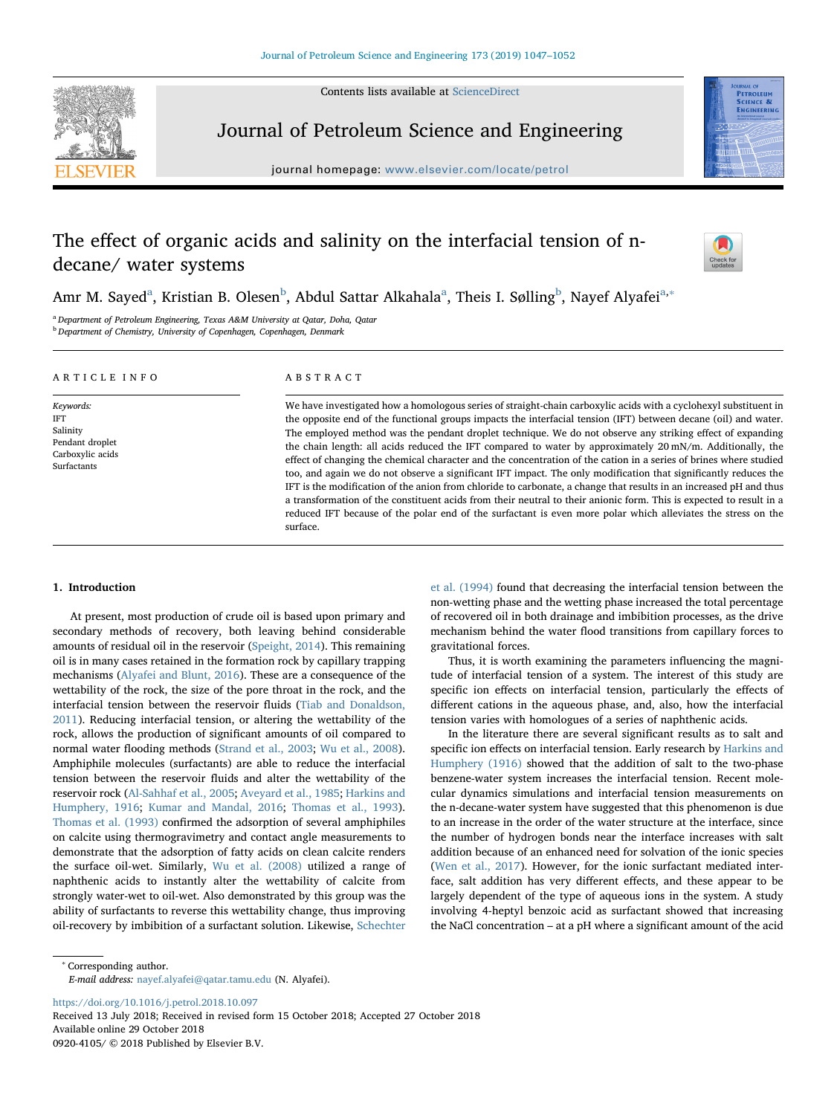Contents lists available at [ScienceDirect](http://www.sciencedirect.com/science/journal/09204105)



Journal of Petroleum Science and Engineering

journal homepage: [www.elsevier.com/locate/petrol](https://www.elsevier.com/locate/petrol)

# The effect of organic acids and salinity on the interfacial tension of ndecane/ water systems

surface.



**PETROLEUM**<br>Science &

Amr M. S[a](#page-0-0)yed<sup>a</sup>, Kristian B. Olesen<sup>[b](#page-0-1)</sup>, Abdul Sattar Alkahala<sup>a</sup>, Theis I. Sølling<sup>b</sup>, Nayef Alyafei<sup>a,</sup>\*

<span id="page-0-1"></span><span id="page-0-0"></span><sup>a</sup> Department of Petroleum Engineering, Texas A&M University at Qatar, Doha, Qatar **b** Department of Chemistry, University of Copenhagen, Copenhagen, Denmark

| ARTICLE INFO                                                                       | ABSTRACT                                                                                                                                                                                                                                                                                                                                                                                                                                                                                                                                                                                                                                                                                                                                                                                                                                                                                                                                                                                                                                                           |
|------------------------------------------------------------------------------------|--------------------------------------------------------------------------------------------------------------------------------------------------------------------------------------------------------------------------------------------------------------------------------------------------------------------------------------------------------------------------------------------------------------------------------------------------------------------------------------------------------------------------------------------------------------------------------------------------------------------------------------------------------------------------------------------------------------------------------------------------------------------------------------------------------------------------------------------------------------------------------------------------------------------------------------------------------------------------------------------------------------------------------------------------------------------|
| Keywords:<br>IFT<br>Salinity<br>Pendant droplet<br>Carboxylic acids<br>Surfactants | We have investigated how a homologous series of straight-chain carboxylic acids with a cyclohexyl substituent in<br>the opposite end of the functional groups impacts the interfacial tension (IFT) between decane (oil) and water.<br>The employed method was the pendant droplet technique. We do not observe any striking effect of expanding<br>the chain length: all acids reduced the IFT compared to water by approximately 20 mN/m. Additionally, the<br>effect of changing the chemical character and the concentration of the cation in a series of brines where studied<br>too, and again we do not observe a significant IFT impact. The only modification that significantly reduces the<br>IFT is the modification of the anion from chloride to carbonate, a change that results in an increased pH and thus<br>a transformation of the constituent acids from their neutral to their anionic form. This is expected to result in a<br>reduced IFT because of the polar end of the surfactant is even more polar which alleviates the stress on the |

# 1. Introduction

At present, most production of crude oil is based upon primary and secondary methods of recovery, both leaving behind considerable amounts of residual oil in the reservoir [\(Speight, 2014](#page-5-0)). This remaining oil is in many cases retained in the formation rock by capillary trapping mechanisms [\(Alyafei and Blunt, 2016\)](#page-5-1). These are a consequence of the wettability of the rock, the size of the pore throat in the rock, and the interfacial tension between the reservoir fluids ([Tiab and Donaldson,](#page-5-2) [2011\)](#page-5-2). Reducing interfacial tension, or altering the wettability of the rock, allows the production of significant amounts of oil compared to normal water flooding methods [\(Strand et al., 2003;](#page-5-3) [Wu et al., 2008](#page-5-4)). Amphiphile molecules (surfactants) are able to reduce the interfacial tension between the reservoir fluids and alter the wettability of the reservoir rock [\(Al-Sahhaf et al., 2005;](#page-5-5) [Aveyard et al., 1985;](#page-5-6) [Harkins and](#page-5-7) [Humphery, 1916](#page-5-7); [Kumar and Mandal, 2016;](#page-5-8) [Thomas et al., 1993](#page-5-9)). [Thomas et al. \(1993\)](#page-5-9) confirmed the adsorption of several amphiphiles on calcite using thermogravimetry and contact angle measurements to demonstrate that the adsorption of fatty acids on clean calcite renders the surface oil-wet. Similarly, [Wu et al. \(2008\)](#page-5-4) utilized a range of naphthenic acids to instantly alter the wettability of calcite from strongly water-wet to oil-wet. Also demonstrated by this group was the ability of surfactants to reverse this wettability change, thus improving oil-recovery by imbibition of a surfactant solution. Likewise, [Schechter](#page-5-10)

[et al. \(1994\)](#page-5-10) found that decreasing the interfacial tension between the non-wetting phase and the wetting phase increased the total percentage of recovered oil in both drainage and imbibition processes, as the drive mechanism behind the water flood transitions from capillary forces to gravitational forces.

Thus, it is worth examining the parameters influencing the magnitude of interfacial tension of a system. The interest of this study are specific ion effects on interfacial tension, particularly the effects of different cations in the aqueous phase, and, also, how the interfacial tension varies with homologues of a series of naphthenic acids.

In the literature there are several significant results as to salt and specific ion effects on interfacial tension. Early research by [Harkins and](#page-5-7) [Humphery \(1916\)](#page-5-7) showed that the addition of salt to the two-phase benzene-water system increases the interfacial tension. Recent molecular dynamics simulations and interfacial tension measurements on the n-decane-water system have suggested that this phenomenon is due to an increase in the order of the water structure at the interface, since the number of hydrogen bonds near the interface increases with salt addition because of an enhanced need for solvation of the ionic species ([Wen et al., 2017](#page-5-11)). However, for the ionic surfactant mediated interface, salt addition has very different effects, and these appear to be largely dependent of the type of aqueous ions in the system. A study involving 4-heptyl benzoic acid as surfactant showed that increasing the NaCl concentration – at a pH where a significant amount of the acid

<span id="page-0-2"></span><sup>∗</sup> Corresponding author.

E-mail address: [nayef.alyafei@qatar.tamu.edu](mailto:nayef.alyafei@qatar.tamu.edu) (N. Alyafei).

<https://doi.org/10.1016/j.petrol.2018.10.097>

Received 13 July 2018; Received in revised form 15 October 2018; Accepted 27 October 2018 Available online 29 October 2018 0920-4105/ © 2018 Published by Elsevier B.V.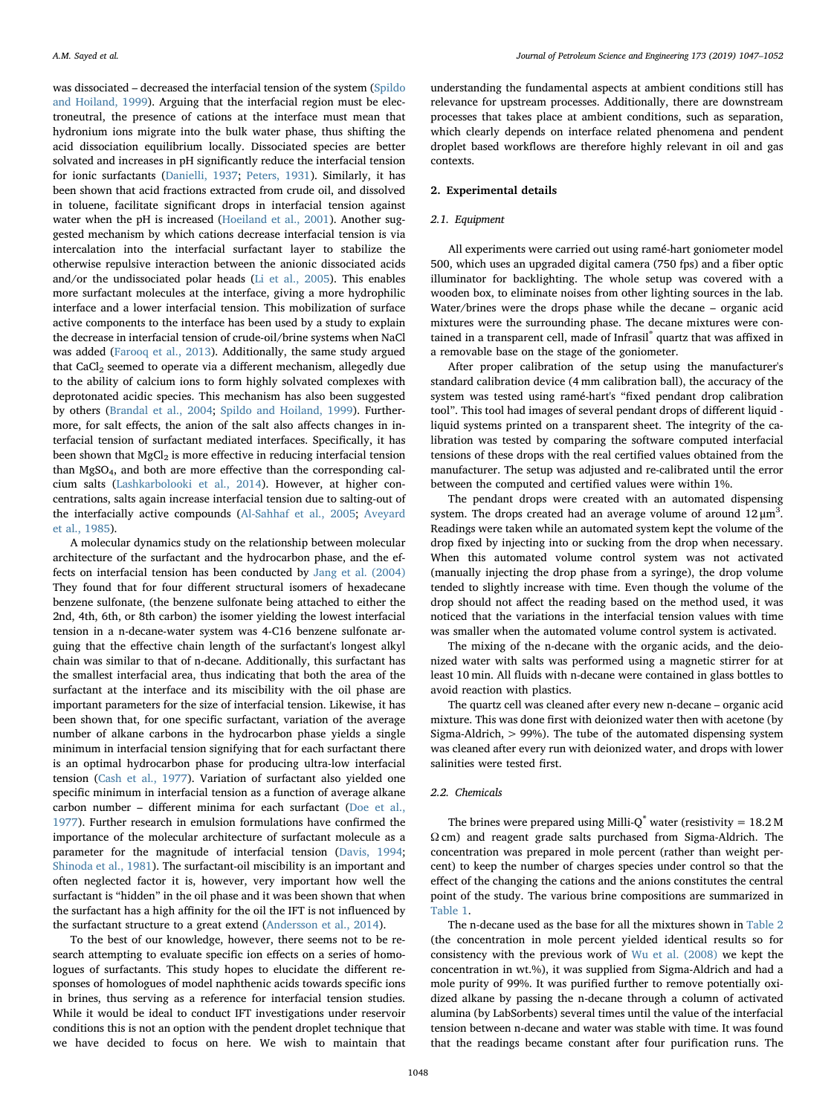was dissociated – decreased the interfacial tension of the system [\(Spildo](#page-5-12) [and Hoiland, 1999](#page-5-12)). Arguing that the interfacial region must be electroneutral, the presence of cations at the interface must mean that hydronium ions migrate into the bulk water phase, thus shifting the acid dissociation equilibrium locally. Dissociated species are better solvated and increases in pH significantly reduce the interfacial tension for ionic surfactants ([Danielli, 1937](#page-5-13); [Peters, 1931\)](#page-5-14). Similarly, it has been shown that acid fractions extracted from crude oil, and dissolved in toluene, facilitate significant drops in interfacial tension against water when the pH is increased [\(Hoeiland et al., 2001\)](#page-5-15). Another suggested mechanism by which cations decrease interfacial tension is via intercalation into the interfacial surfactant layer to stabilize the otherwise repulsive interaction between the anionic dissociated acids and/or the undissociated polar heads [\(Li et al., 2005\)](#page-5-16). This enables more surfactant molecules at the interface, giving a more hydrophilic interface and a lower interfacial tension. This mobilization of surface active components to the interface has been used by a study to explain the decrease in interfacial tension of crude-oil/brine systems when NaCl was added [\(Farooq et al., 2013](#page-5-17)). Additionally, the same study argued that CaCl<sub>2</sub> seemed to operate via a different mechanism, allegedly due to the ability of calcium ions to form highly solvated complexes with deprotonated acidic species. This mechanism has also been suggested by others [\(Brandal et al., 2004](#page-5-18); [Spildo and Hoiland, 1999](#page-5-12)). Furthermore, for salt effects, the anion of the salt also affects changes in interfacial tension of surfactant mediated interfaces. Specifically, it has been shown that  $MgCl<sub>2</sub>$  is more effective in reducing interfacial tension than MgSO4, and both are more effective than the corresponding calcium salts ([Lashkarbolooki et al., 2014](#page-5-19)). However, at higher concentrations, salts again increase interfacial tension due to salting-out of the interfacially active compounds [\(Al-Sahhaf et al., 2005](#page-5-5); [Aveyard](#page-5-6) [et al., 1985](#page-5-6)).

A molecular dynamics study on the relationship between molecular architecture of the surfactant and the hydrocarbon phase, and the effects on interfacial tension has been conducted by [Jang et al. \(2004\)](#page-5-20) They found that for four different structural isomers of hexadecane benzene sulfonate, (the benzene sulfonate being attached to either the 2nd, 4th, 6th, or 8th carbon) the isomer yielding the lowest interfacial tension in a n-decane-water system was 4-C16 benzene sulfonate arguing that the effective chain length of the surfactant's longest alkyl chain was similar to that of n-decane. Additionally, this surfactant has the smallest interfacial area, thus indicating that both the area of the surfactant at the interface and its miscibility with the oil phase are important parameters for the size of interfacial tension. Likewise, it has been shown that, for one specific surfactant, variation of the average number of alkane carbons in the hydrocarbon phase yields a single minimum in interfacial tension signifying that for each surfactant there is an optimal hydrocarbon phase for producing ultra-low interfacial tension ([Cash et al., 1977](#page-5-21)). Variation of surfactant also yielded one specific minimum in interfacial tension as a function of average alkane carbon number – different minima for each surfactant ([Doe et al.,](#page-5-22) [1977\)](#page-5-22). Further research in emulsion formulations have confirmed the importance of the molecular architecture of surfactant molecule as a parameter for the magnitude of interfacial tension ([Davis, 1994](#page-5-23); [Shinoda et al., 1981](#page-5-24)). The surfactant-oil miscibility is an important and often neglected factor it is, however, very important how well the surfactant is "hidden" in the oil phase and it was been shown that when the surfactant has a high affinity for the oil the IFT is not influenced by the surfactant structure to a great extend ([Andersson et al., 2014\)](#page-5-25).

To the best of our knowledge, however, there seems not to be research attempting to evaluate specific ion effects on a series of homologues of surfactants. This study hopes to elucidate the different responses of homologues of model naphthenic acids towards specific ions in brines, thus serving as a reference for interfacial tension studies. While it would be ideal to conduct IFT investigations under reservoir conditions this is not an option with the pendent droplet technique that we have decided to focus on here. We wish to maintain that

understanding the fundamental aspects at ambient conditions still has relevance for upstream processes. Additionally, there are downstream processes that takes place at ambient conditions, such as separation, which clearly depends on interface related phenomena and pendent droplet based workflows are therefore highly relevant in oil and gas contexts.

## 2. Experimental details

# 2.1. Equipment

All experiments were carried out using ramé-hart goniometer model 500, which uses an upgraded digital camera (750 fps) and a fiber optic illuminator for backlighting. The whole setup was covered with a wooden box, to eliminate noises from other lighting sources in the lab. Water/brines were the drops phase while the decane – organic acid mixtures were the surrounding phase. The decane mixtures were contained in a transparent cell, made of Infrasil® quartz that was affixed in a removable base on the stage of the goniometer.

After proper calibration of the setup using the manufacturer's standard calibration device (4 mm calibration ball), the accuracy of the system was tested using ramé-hart's "fixed pendant drop calibration tool". This tool had images of several pendant drops of different liquid liquid systems printed on a transparent sheet. The integrity of the calibration was tested by comparing the software computed interfacial tensions of these drops with the real certified values obtained from the manufacturer. The setup was adjusted and re-calibrated until the error between the computed and certified values were within 1%.

The pendant drops were created with an automated dispensing system. The drops created had an average volume of around  $12 \mu m^3$ . Readings were taken while an automated system kept the volume of the drop fixed by injecting into or sucking from the drop when necessary. When this automated volume control system was not activated (manually injecting the drop phase from a syringe), the drop volume tended to slightly increase with time. Even though the volume of the drop should not affect the reading based on the method used, it was noticed that the variations in the interfacial tension values with time was smaller when the automated volume control system is activated.

The mixing of the n-decane with the organic acids, and the deionized water with salts was performed using a magnetic stirrer for at least 10 min. All fluids with n-decane were contained in glass bottles to avoid reaction with plastics.

The quartz cell was cleaned after every new n-decane – organic acid mixture. This was done first with deionized water then with acetone (by Sigma-Aldrich, > 99%). The tube of the automated dispensing system was cleaned after every run with deionized water, and drops with lower salinities were tested first.

# 2.2. Chemicals

The brines were prepared using Milli-Q<sup>®</sup> water (resistivity =  $18.2 M$ Ω cm) and reagent grade salts purchased from Sigma-Aldrich. The concentration was prepared in mole percent (rather than weight percent) to keep the number of charges species under control so that the effect of the changing the cations and the anions constitutes the central point of the study. The various brine compositions are summarized in [Table 1](#page-2-0).

The n-decane used as the base for all the mixtures shown in [Table 2](#page-2-1) (the concentration in mole percent yielded identical results so for consistency with the previous work of [Wu et al. \(2008\)](#page-5-4) we kept the concentration in wt.%), it was supplied from Sigma-Aldrich and had a mole purity of 99%. It was purified further to remove potentially oxidized alkane by passing the n-decane through a column of activated alumina (by LabSorbents) several times until the value of the interfacial tension between n-decane and water was stable with time. It was found that the readings became constant after four purification runs. The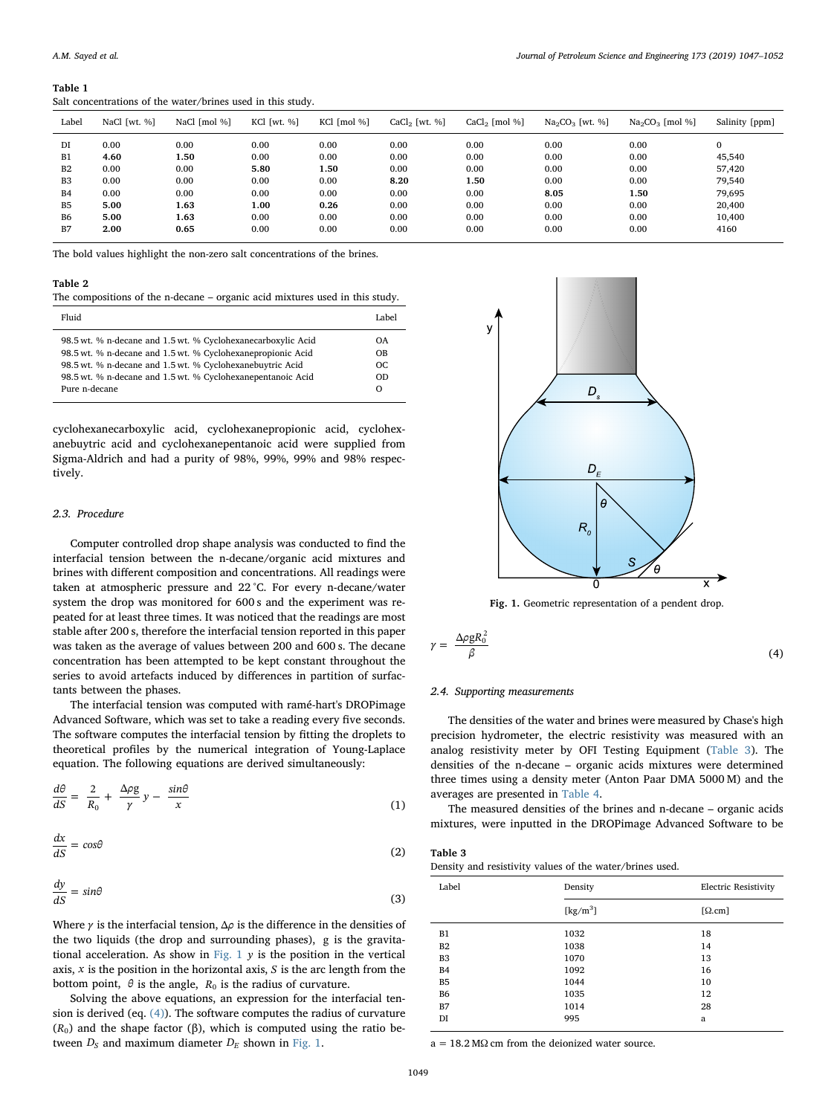#### <span id="page-2-0"></span>Table 1

Salt concentrations of the water/brines used in this study.

| Label          | NaCl [wt. %] | NaCl [mol %] | KCl [wt. $%$ ] | KCl [mol %] | $CaCl2$ [wt. %] | $CaCl2$ [mol %] | $Na2CO3$ [wt. %] | $Na_2CO_3$ [mol %] | Salinity [ppm] |
|----------------|--------------|--------------|----------------|-------------|-----------------|-----------------|------------------|--------------------|----------------|
| DI             | 0.00         | 0.00         | 0.00           | 0.00        | 0.00            | 0.00            | 0.00             | 0.00               | $\mathbf{0}$   |
| B1             | 4.60         | 1.50         | 0.00           | 0.00        | 0.00            | 0.00            | 0.00             | 0.00               | 45,540         |
| B <sub>2</sub> | 0.00         | 0.00         | 5.80           | 1.50        | 0.00            | 0.00            | 0.00             | 0.00               | 57,420         |
| B <sub>3</sub> | 0.00         | 0.00         | 0.00           | 0.00        | 8.20            | 1.50            | 0.00             | 0.00               | 79,540         |
| <b>B4</b>      | 0.00         | 0.00         | 0.00           | 0.00        | 0.00            | 0.00            | 8.05             | 1.50               | 79,695         |
| B <sub>5</sub> | 5.00         | 1.63         | 1.00           | 0.26        | 0.00            | 0.00            | 0.00             | 0.00               | 20,400         |
| <b>B6</b>      | 5.00         | 1.63         | 0.00           | 0.00        | 0.00            | 0.00            | 0.00             | 0.00               | 10,400         |
| B7             | 2.00         | 0.65         | 0.00           | 0.00        | 0.00            | 0.00            | 0.00             | 0.00               | 4160           |

The bold values highlight the non-zero salt concentrations of the brines.

## <span id="page-2-1"></span>Table 2

The compositions of the n-decane – organic acid mixtures used in this study.

| Fluid                                                                                                                                                                                                                                                                    | Label                                    |
|--------------------------------------------------------------------------------------------------------------------------------------------------------------------------------------------------------------------------------------------------------------------------|------------------------------------------|
| 98.5 wt. % n-decane and 1.5 wt. % Cyclohexanecarboxylic Acid<br>98.5 wt. % n-decane and 1.5 wt. % Cyclohexanepropionic Acid<br>98.5 wt. % n-decane and 1.5 wt. % Cyclohexanebuytric Acid<br>98.5 wt. % n-decane and 1.5 wt. % Cyclohexanepentanoic Acid<br>Pure n-decane | <b>OA</b><br>OB<br>OC.<br>OD<br>$\Omega$ |
|                                                                                                                                                                                                                                                                          |                                          |

cyclohexanecarboxylic acid, cyclohexanepropionic acid, cyclohexanebuytric acid and cyclohexanepentanoic acid were supplied from Sigma-Aldrich and had a purity of 98%, 99%, 99% and 98% respectively.

## 2.3. Procedure

Computer controlled drop shape analysis was conducted to find the interfacial tension between the n-decane/organic acid mixtures and brines with different composition and concentrations. All readings were taken at atmospheric pressure and 22 °C. For every n-decane/water system the drop was monitored for 600 s and the experiment was repeated for at least three times. It was noticed that the readings are most stable after 200 s, therefore the interfacial tension reported in this paper was taken as the average of values between 200 and 600 s. The decane concentration has been attempted to be kept constant throughout the series to avoid artefacts induced by differences in partition of surfactants between the phases.

The interfacial tension was computed with ramé-hart's DROPimage Advanced Software, which was set to take a reading every five seconds. The software computes the interfacial tension by fitting the droplets to theoretical profiles by the numerical integration of Young-Laplace equation. The following equations are derived simultaneously:

$$
\frac{d\theta}{dS} = \frac{2}{R_0} + \frac{\Delta \rho g}{\gamma} y - \frac{\sin \theta}{x}
$$
 (1)

$$
\frac{dx}{dS} = \cos\theta\tag{2}
$$

$$
\frac{dy}{dS} = \sin\theta \tag{3}
$$

Where *γ* is the interfacial tension, Δ*ρ* is the difference in the densities of the two liquids (the drop and surrounding phases), g is the gravitational acceleration. As show in [Fig. 1](#page-2-2) *y* is the position in the vertical axis, *x* is the position in the horizontal axis, *S* is the arc length from the bottom point,  $\theta$  is the angle,  $R_0$  is the radius of curvature.

<span id="page-2-3"></span>Solving the above equations, an expression for the interfacial tension is derived (eq. [\(4\)](#page-2-3)). The software computes the radius of curvature ( $R_0$ ) and the shape factor (β), which is computed using the ratio between  $D_S$  and maximum diameter  $D_E$  shown in [Fig. 1.](#page-2-2)

<span id="page-2-2"></span>

Fig. 1. Geometric representation of a pendent drop.

$$
\gamma = \frac{\Delta \rho g R_0^2}{\beta} \tag{4}
$$

## 2.4. Supporting measurements

The densities of the water and brines were measured by Chase's high precision hydrometer, the electric resistivity was measured with an analog resistivity meter by OFI Testing Equipment ([Table 3\)](#page-2-4). The densities of the n-decane – organic acids mixtures were determined three times using a density meter (Anton Paar DMA 5000 M) and the averages are presented in [Table 4.](#page-3-0)

The measured densities of the brines and n-decane – organic acids mixtures, were inputted in the DROPimage Advanced Software to be

<span id="page-2-4"></span>

| Table 3                                                  |  |  |
|----------------------------------------------------------|--|--|
| Density and resistivity values of the water/brines used. |  |  |

| Label          | Density                        | <b>Electric Resistivity</b> |  |
|----------------|--------------------------------|-----------------------------|--|
|                | $\left[\mathrm{kg/m}^3\right]$ | $\lceil \Omega.cm \rceil$   |  |
| B1             | 1032                           | 18                          |  |
| B <sub>2</sub> | 1038                           | 14                          |  |
| B <sub>3</sub> | 1070                           | 13                          |  |
| <b>B4</b>      | 1092                           | 16                          |  |
| B <sub>5</sub> | 1044                           | 10                          |  |
| <b>B6</b>      | 1035                           | 12                          |  |
| B7             | 1014                           | 28                          |  |
| DI             | 995                            | a                           |  |

 $a = 18.2 \text{ M}\Omega \text{ cm}$  from the deionized water source.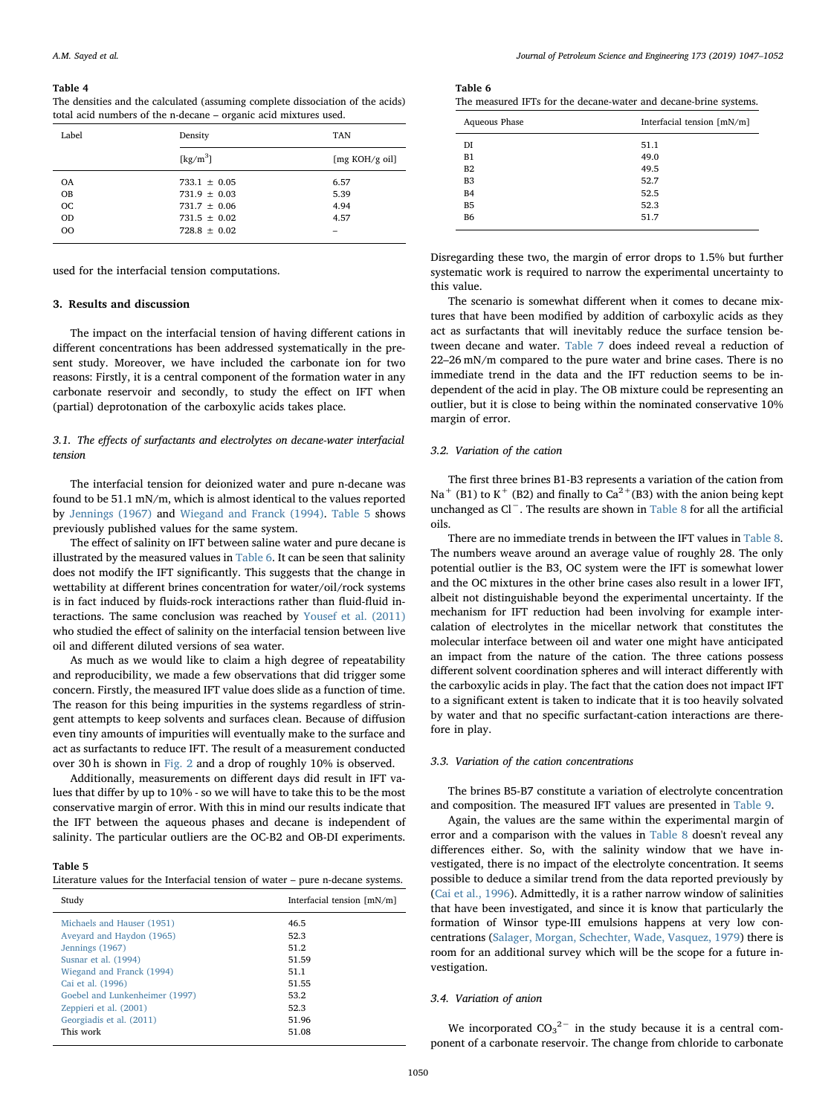#### <span id="page-3-0"></span>Table 4

The densities and the calculated (assuming complete dissociation of the acids) total acid numbers of the n-decane – organic acid mixtures used.

| Label     | Density                        | <b>TAN</b>     |
|-----------|--------------------------------|----------------|
|           | $\left[\mathrm{kg/m}^3\right]$ | [mg KOH/g oil] |
| <b>OA</b> | $733.1 \pm 0.05$               | 6.57           |
| <b>OB</b> | $731.9 \pm 0.03$               | 5.39           |
| <b>OC</b> | $731.7 \pm 0.06$               | 4.94           |
| <b>OD</b> | $731.5 \pm 0.02$               | 4.57           |
| 00        | $728.8 \pm 0.02$               | -              |

used for the interfacial tension computations.

#### 3. Results and discussion

The impact on the interfacial tension of having different cations in different concentrations has been addressed systematically in the present study. Moreover, we have included the carbonate ion for two reasons: Firstly, it is a central component of the formation water in any carbonate reservoir and secondly, to study the effect on IFT when (partial) deprotonation of the carboxylic acids takes place.

3.1. The effects of surfactants and electrolytes on decane-water interfacial tension

The interfacial tension for deionized water and pure n-decane was found to be 51.1 mN/m, which is almost identical to the values reported by [Jennings \(1967\)](#page-5-26) and [Wiegand and Franck \(1994\).](#page-5-27) [Table 5](#page-3-1) shows previously published values for the same system.

The effect of salinity on IFT between saline water and pure decane is illustrated by the measured values in Table  $6$ . It can be seen that salinity does not modify the IFT significantly. This suggests that the change in wettability at different brines concentration for water/oil/rock systems is in fact induced by fluids-rock interactions rather than fluid-fluid interactions. The same conclusion was reached by [Yousef et al. \(2011\)](#page-5-28) who studied the effect of salinity on the interfacial tension between live oil and different diluted versions of sea water.

As much as we would like to claim a high degree of repeatability and reproducibility, we made a few observations that did trigger some concern. Firstly, the measured IFT value does slide as a function of time. The reason for this being impurities in the systems regardless of stringent attempts to keep solvents and surfaces clean. Because of diffusion even tiny amounts of impurities will eventually make to the surface and act as surfactants to reduce IFT. The result of a measurement conducted over 30 h is shown in [Fig. 2](#page-4-0) and a drop of roughly 10% is observed.

Additionally, measurements on different days did result in IFT values that differ by up to 10% - so we will have to take this to be the most conservative margin of error. With this in mind our results indicate that the IFT between the aqueous phases and decane is independent of salinity. The particular outliers are the OC-B2 and OB-DI experiments.

# <span id="page-3-1"></span>Table 5

| Literature values for the Interfacial tension of water - pure n-decane systems. |
|---------------------------------------------------------------------------------|
|---------------------------------------------------------------------------------|

| Study                          | Interfacial tension [mN/m] |
|--------------------------------|----------------------------|
| Michaels and Hauser (1951)     | 46.5                       |
| Aveyard and Haydon (1965)      | 52.3                       |
| Jennings (1967)                | 51.2                       |
| Susnar et al. (1994)           | 51.59                      |
| Wiegand and Franck (1994)      | 51.1                       |
| Cai et al. (1996)              | 51.55                      |
| Goebel and Lunkenheimer (1997) | 53.2                       |
| Zeppieri et al. (2001)         | 52.3                       |
| Georgiadis et al. (2011)       | 51.96                      |
| This work                      | 51.08                      |

<span id="page-3-2"></span>

| Table 6                                                                                                        |  |  |
|----------------------------------------------------------------------------------------------------------------|--|--|
| mai immediation is a finding to the contract of the contract of the contract of the contract of the contract o |  |  |

| The measured IFTs for the decane-water and decane-brine systems. |
|------------------------------------------------------------------|
|------------------------------------------------------------------|

| Aqueous Phase  | Interfacial tension [mN/m] |
|----------------|----------------------------|
| DI             | 51.1                       |
| B1             | 49.0                       |
| B <sub>2</sub> | 49.5                       |
| B <sub>3</sub> | 52.7                       |
| <b>B4</b>      | 52.5                       |
| <b>B5</b>      | 52.3                       |
| <b>B6</b>      | 51.7                       |
|                |                            |

Disregarding these two, the margin of error drops to 1.5% but further systematic work is required to narrow the experimental uncertainty to this value.

The scenario is somewhat different when it comes to decane mixtures that have been modified by addition of carboxylic acids as they act as surfactants that will inevitably reduce the surface tension between decane and water. [Table 7](#page-4-1) does indeed reveal a reduction of 22–26 mN/m compared to the pure water and brine cases. There is no immediate trend in the data and the IFT reduction seems to be independent of the acid in play. The OB mixture could be representing an outlier, but it is close to being within the nominated conservative 10% margin of error.

## 3.2. Variation of the cation

The first three brines B1-B3 represents a variation of the cation from  $Na<sup>+</sup>$  (B1) to K<sup>+</sup> (B2) and finally to  $Ca<sup>2+</sup>$  (B3) with the anion being kept unchanged as Cl−. The results are shown in [Table 8](#page-4-2) for all the artificial oils.

There are no immediate trends in between the IFT values in [Table 8](#page-4-2). The numbers weave around an average value of roughly 28. The only potential outlier is the B3, OC system were the IFT is somewhat lower and the OC mixtures in the other brine cases also result in a lower IFT, albeit not distinguishable beyond the experimental uncertainty. If the mechanism for IFT reduction had been involving for example intercalation of electrolytes in the micellar network that constitutes the molecular interface between oil and water one might have anticipated an impact from the nature of the cation. The three cations possess different solvent coordination spheres and will interact differently with the carboxylic acids in play. The fact that the cation does not impact IFT to a significant extent is taken to indicate that it is too heavily solvated by water and that no specific surfactant-cation interactions are therefore in play.

## 3.3. Variation of the cation concentrations

The brines B5-B7 constitute a variation of electrolyte concentration and composition. The measured IFT values are presented in [Table 9](#page-4-3).

Again, the values are the same within the experimental margin of error and a comparison with the values in [Table 8](#page-4-2) doesn't reveal any differences either. So, with the salinity window that we have investigated, there is no impact of the electrolyte concentration. It seems possible to deduce a similar trend from the data reported previously by ([Cai et al., 1996](#page-5-29)). Admittedly, it is a rather narrow window of salinities that have been investigated, and since it is know that particularly the formation of Winsor type-III emulsions happens at very low concentrations ([Salager, Morgan, Schechter, Wade, Vasquez, 1979\)](#page-5-30) there is room for an additional survey which will be the scope for a future investigation.

### 3.4. Variation of anion

We incorporated  $CO_3^2$ <sup>-</sup> in the study because it is a central component of a carbonate reservoir. The change from chloride to carbonate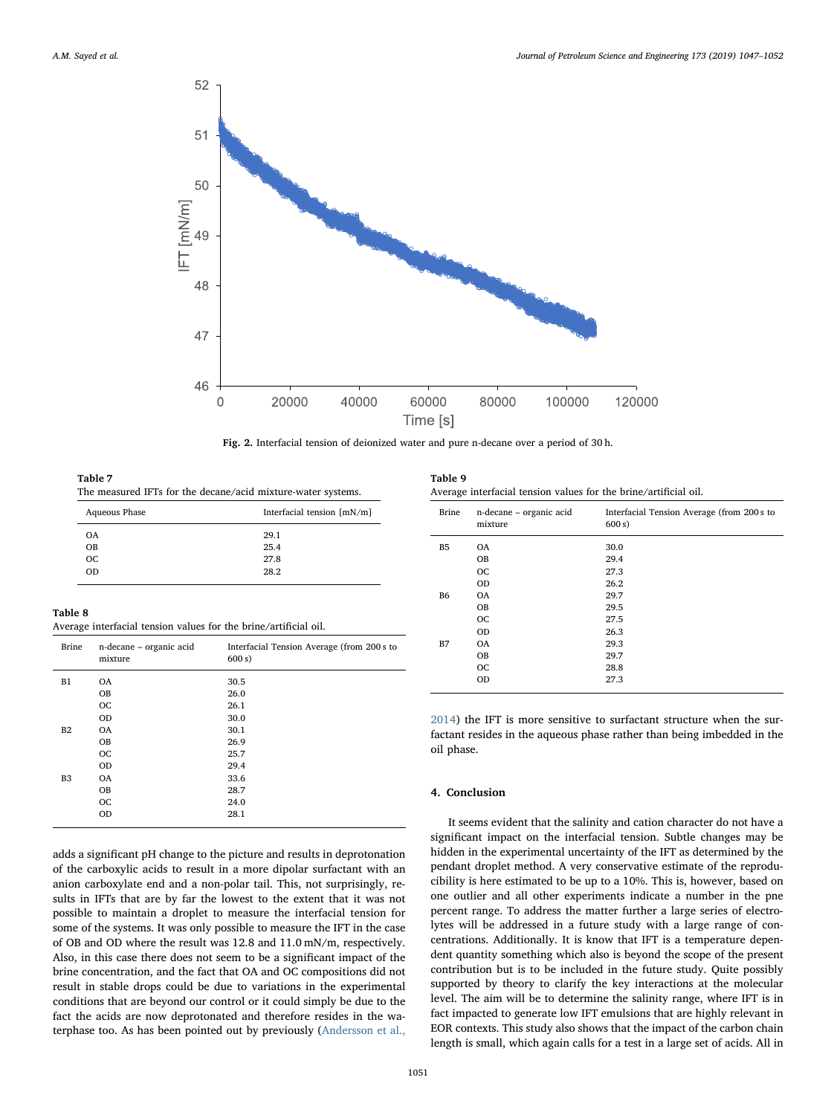<span id="page-4-0"></span>

Fig. 2. Interfacial tension of deionized water and pure n-decane over a period of 30 h.

<span id="page-4-1"></span>Table 7 The measured IFTs for the decane/acid mixture-water systems.

| Aqueous Phase                       | Interfacial tension $[mN/m]$ |
|-------------------------------------|------------------------------|
| <b>OA</b><br><b>OB</b><br>OC.<br>OD | 29.1<br>25.4<br>27.8<br>28.2 |
|                                     |                              |

# <span id="page-4-2"></span>Table 8

|  | Average interfacial tension values for the brine/artificial oil. |  |  |  |  |
|--|------------------------------------------------------------------|--|--|--|--|
|--|------------------------------------------------------------------|--|--|--|--|

| <b>Brine</b>   | n-decane – organic acid<br>mixture | Interfacial Tension Average (from 200 s to<br>600 s |
|----------------|------------------------------------|-----------------------------------------------------|
| B1             | OA                                 | 30.5                                                |
|                | OB                                 | 26.0                                                |
|                | <b>OC</b>                          | 26.1                                                |
|                | <b>OD</b>                          | 30.0                                                |
| B <sub>2</sub> | <b>OA</b>                          | 30.1                                                |
|                | OB                                 | 26.9                                                |
|                | <b>OC</b>                          | 25.7                                                |
|                | <b>OD</b>                          | 29.4                                                |
| B <sub>3</sub> | <b>OA</b>                          | 33.6                                                |
|                | OB                                 | 28.7                                                |
|                | OС                                 | 24.0                                                |
|                | OD                                 | 28.1                                                |
|                |                                    |                                                     |

adds a significant pH change to the picture and results in deprotonation of the carboxylic acids to result in a more dipolar surfactant with an anion carboxylate end and a non-polar tail. This, not surprisingly, results in IFTs that are by far the lowest to the extent that it was not possible to maintain a droplet to measure the interfacial tension for some of the systems. It was only possible to measure the IFT in the case of OB and OD where the result was 12.8 and 11.0 mN/m, respectively. Also, in this case there does not seem to be a significant impact of the brine concentration, and the fact that OA and OC compositions did not result in stable drops could be due to variations in the experimental conditions that are beyond our control or it could simply be due to the fact the acids are now deprotonated and therefore resides in the waterphase too. As has been pointed out by previously [\(Andersson et al.,](#page-5-25)

<span id="page-4-3"></span>

| Table 9                                                          |  |  |  |
|------------------------------------------------------------------|--|--|--|
| Average interfacial tension values for the brine/artificial oil. |  |  |  |

| <b>Brine</b> | n-decane – organic acid<br>mixture | Interfacial Tension Average (from 200 s to<br>600 s |
|--------------|------------------------------------|-----------------------------------------------------|
| <b>B5</b>    | <b>OA</b>                          | 30.0                                                |
|              | OB                                 | 29.4                                                |
|              | <b>OC</b>                          | 27.3                                                |
|              | <b>OD</b>                          | 26.2                                                |
| <b>B6</b>    | <b>OA</b>                          | 29.7                                                |
|              | OB                                 | 29.5                                                |
|              | <b>OC</b>                          | 27.5                                                |
|              | <b>OD</b>                          | 26.3                                                |
| B7           | <b>OA</b>                          | 29.3                                                |
|              | OB                                 | 29.7                                                |
|              | <b>OC</b>                          | 28.8                                                |
|              | <b>OD</b>                          | 27.3                                                |
|              |                                    |                                                     |

[2014\)](#page-5-25) the IFT is more sensitive to surfactant structure when the surfactant resides in the aqueous phase rather than being imbedded in the oil phase.

# 4. Conclusion

It seems evident that the salinity and cation character do not have a significant impact on the interfacial tension. Subtle changes may be hidden in the experimental uncertainty of the IFT as determined by the pendant droplet method. A very conservative estimate of the reproducibility is here estimated to be up to a 10%. This is, however, based on one outlier and all other experiments indicate a number in the pne percent range. To address the matter further a large series of electrolytes will be addressed in a future study with a large range of concentrations. Additionally. It is know that IFT is a temperature dependent quantity something which also is beyond the scope of the present contribution but is to be included in the future study. Quite possibly supported by theory to clarify the key interactions at the molecular level. The aim will be to determine the salinity range, where IFT is in fact impacted to generate low IFT emulsions that are highly relevant in EOR contexts. This study also shows that the impact of the carbon chain length is small, which again calls for a test in a large set of acids. All in